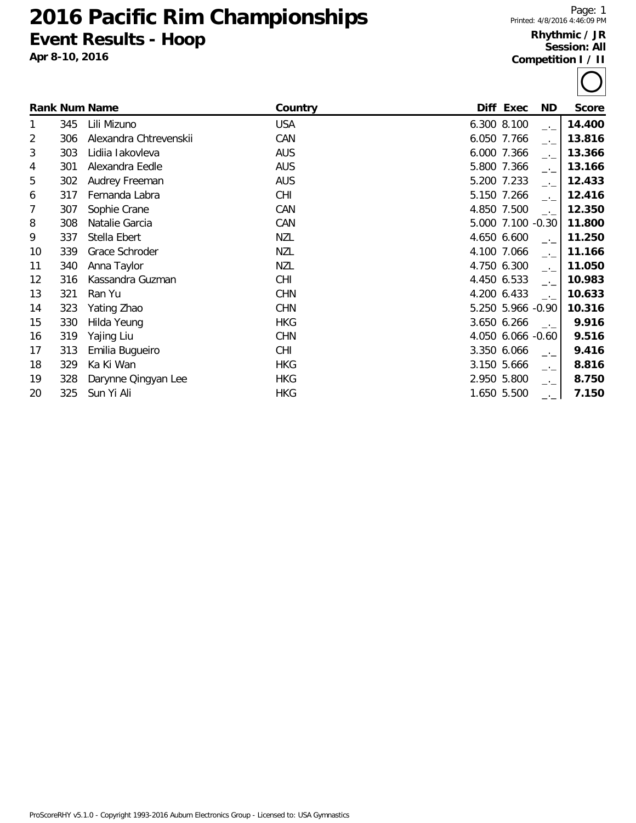# **Pacific Rim Championships Event Results - Hoop**

**Apr 8-10, 2016**

#### **Rhythmic / JR Session: All Competition I / II**

|    |     | <b>Rank Num Name</b>   | Country    | Diff Exec         | ND.  | <b>Score</b> |
|----|-----|------------------------|------------|-------------------|------|--------------|
| 1  | 345 | Lili Mizuno            | <b>USA</b> | 6.300 8.100       | $-1$ | 14.400       |
| 2  | 306 | Alexandra Chtrevenskii | CAN        | 6.050 7.766       | $-1$ | 13.816       |
| 3  | 303 | Lidiia lakovleva       | <b>AUS</b> | 6.000 7.366       | $-1$ | 13.366       |
| 4  | 301 | Alexandra Eedle        | <b>AUS</b> | 5.800 7.366       | $-1$ | 13.166       |
| 5  | 302 | Audrey Freeman         | <b>AUS</b> | 5.200 7.233       | $-1$ | 12.433       |
| 6  | 317 | Fernanda Labra         | <b>CHI</b> | 5.150 7.266       | $-1$ | 12.416       |
| 7  | 307 | Sophie Crane           | CAN        | 4.850 7.500       | $-1$ | 12.350       |
| 8  | 308 | Natalie Garcia         | CAN        | 5.000 7.100 -0.30 |      | 11.800       |
| 9  | 337 | Stella Ebert           | <b>NZL</b> | 4.650 6.600       | $-1$ | 11.250       |
| 10 | 339 | Grace Schroder         | <b>NZL</b> | 4.100 7.066       | $-1$ | 11.166       |
| 11 | 340 | Anna Taylor            | <b>NZL</b> | 4.750 6.300       | $-1$ | 11.050       |
| 12 | 316 | Kassandra Guzman       | <b>CHI</b> | 4.450 6.533       | $-1$ | 10.983       |
| 13 | 321 | Ran Yu                 | <b>CHN</b> | 4.200 6.433       | $-1$ | 10.633       |
| 14 | 323 | Yating Zhao            | <b>CHN</b> | 5.250 5.966 -0.90 |      | 10.316       |
| 15 | 330 | Hilda Yeung            | <b>HKG</b> | 3.650 6.266       | $-1$ | 9.916        |
| 16 | 319 | Yajing Liu             | <b>CHN</b> | 4.050 6.066 -0.60 |      | 9.516        |
| 17 | 313 | Emilia Bugueiro        | <b>CHI</b> | 3.350 6.066       | $-1$ | 9.416        |
| 18 | 329 | Ka Ki Wan              | <b>HKG</b> | 3.150 5.666       | $-1$ | 8.816        |
| 19 | 328 | Darynne Qingyan Lee    | <b>HKG</b> | 2.950 5.800       | —'—  | 8.750        |
| 20 | 325 | Sun Yi Ali             | <b>HKG</b> | 1.650 5.500       |      | 7.150        |

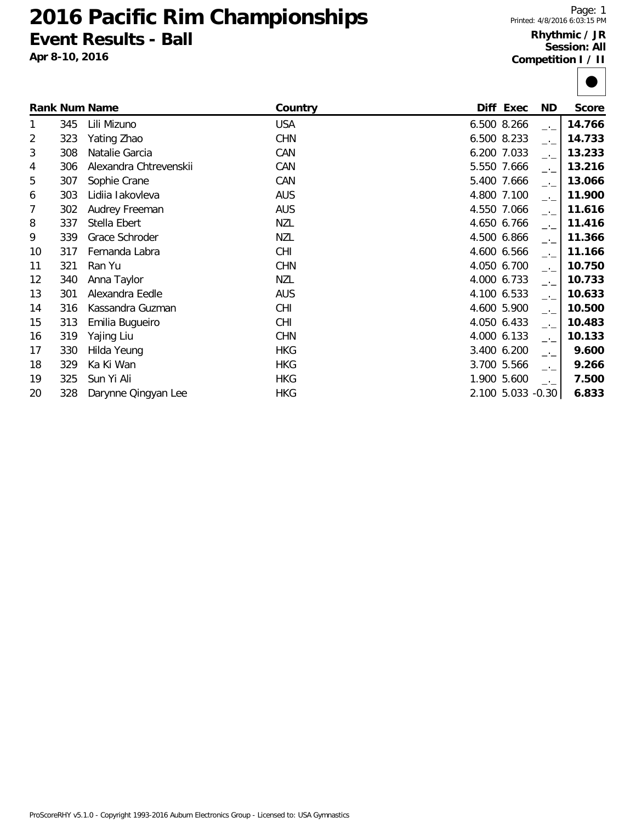# **Pacific Rim Championships Event Results - Ball**

**Apr 8-10, 2016**

#### **Rhythmic / JR Session: All Competition I / II**

|    |     | <b>Rank Num Name</b>   | Country    | Diff Exec         | ND.           | <b>Score</b> |
|----|-----|------------------------|------------|-------------------|---------------|--------------|
| 1  | 345 | Lili Mizuno            | <b>USA</b> | 6.500 8.266       | $-1$          | 14.766       |
| 2  | 323 | Yating Zhao            | <b>CHN</b> | 6.500 8.233       | $-1$          | 14.733       |
| 3  | 308 | Natalie Garcia         | CAN        | 6.200 7.033       | $-1$          | 13.233       |
| 4  | 306 | Alexandra Chtrevenskii | CAN        | 5.550 7.666       | $\rightarrow$ | 13.216       |
| 5  | 307 | Sophie Crane           | CAN        | 5.400 7.666       | $-1$          | 13.066       |
| 6  | 303 | Lidiia lakovleva       | <b>AUS</b> | 4.800 7.100       | $-1$          | 11.900       |
| 7  | 302 | Audrey Freeman         | <b>AUS</b> | 4.550 7.066       | $\rightarrow$ | 11.616       |
| 8  | 337 | Stella Ebert           | <b>NZL</b> | 4.650 6.766       | $\rightarrow$ | 11.416       |
| 9  | 339 | Grace Schroder         | <b>NZL</b> | 4.500 6.866       | $-1$          | 11.366       |
| 10 | 317 | Fernanda Labra         | <b>CHI</b> | 4.600 6.566       | $-1$          | 11.166       |
| 11 | 321 | Ran Yu                 | <b>CHN</b> | 4.050 6.700       | $-1$          | 10.750       |
| 12 | 340 | Anna Taylor            | <b>NZL</b> | 4.000 6.733       | $-1$          | 10.733       |
| 13 | 301 | Alexandra Eedle        | <b>AUS</b> | 4.100 6.533       | $-1$          | 10.633       |
| 14 | 316 | Kassandra Guzman       | <b>CHI</b> | 4.600 5.900       | $-1$          | 10.500       |
| 15 | 313 | Emilia Bugueiro        | <b>CHI</b> | 4.050 6.433       | $-1$          | 10.483       |
| 16 | 319 | Yajing Liu             | <b>CHN</b> | 4.000 6.133       | $-1$          | 10.133       |
| 17 | 330 | Hilda Yeung            | <b>HKG</b> | 3.400 6.200       | $-1$          | 9.600        |
| 18 | 329 | Ka Ki Wan              | <b>HKG</b> | 3.700 5.566       | $-1$          | 9.266        |
| 19 | 325 | Sun Yi Ali             | <b>HKG</b> | 1.900 5.600       | $-1$          | 7.500        |
| 20 | 328 | Darynne Qingyan Lee    | <b>HKG</b> | 2.100 5.033 -0.30 |               | 6.833        |

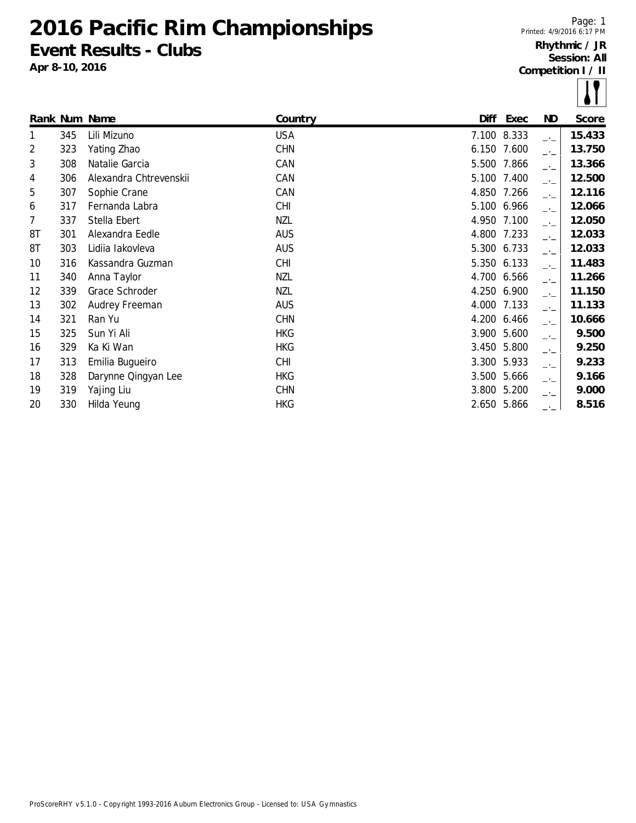**2016 Pacific Rim Championships Event Results - Clubs**

**Apr 8-10, 2016**

Page: 1 Printed: 4/9/2016 6:17 PM **Rhythmic / JR Session: All Competition I / II**

|    |     |                        |            |       |             |                | $\bullet$ . |
|----|-----|------------------------|------------|-------|-------------|----------------|-------------|
|    |     | Rank Num Name          | Country    | Diff  | Exec        | ND             | Score       |
| 1  | 345 | Lili Mizuno            | <b>USA</b> |       | 7.100 8.333 | $-1$           | 15.433      |
| 2  | 323 | Yating Zhao            | <b>CHN</b> | 6.150 | 7.600       | $\overline{a}$ | 13.750      |
| 3  | 308 | Natalie Garcia         | CAN        | 5.500 | 7.866       | $-1$           | 13.366      |
| 4  | 306 | Alexandra Chtrevenskii | CAN        |       | 5.100 7.400 | $-1$           | 12.500      |
| 5  | 307 | Sophie Crane           | CAN        |       | 4.850 7.266 | $ -$           | 12.116      |
| 6  | 317 | Fernanda Labra         | <b>CHI</b> |       | 5.100 6.966 | $-1$           | 12.066      |
| 7  | 337 | Stella Ebert           | <b>NZL</b> |       | 4.950 7.100 | $-1$           | 12.050      |
| 8T | 301 | Alexandra Eedle        | <b>AUS</b> | 4.800 | 7.233       | $ -$           | 12.033      |
| 8T | 303 | Lidiia lakovleva       | <b>AUS</b> |       | 5.300 6.733 | $-1$           | 12.033      |
| 10 | 316 | Kassandra Guzman       | <b>CHI</b> |       | 5.350 6.133 | $-1$           | 11.483      |
| 11 | 340 | Anna Taylor            | <b>NZL</b> | 4.700 | 6.566       | $-1$           | 11.266      |
| 12 | 339 | Grace Schroder         | NZL        | 4.250 | 6.900       | $ -$           | 11.150      |
| 13 | 302 | Audrey Freeman         | <b>AUS</b> | 4.000 | 7.133       | $-1$           | 11.133      |
| 14 | 321 | Ran Yu                 | <b>CHN</b> |       | 4.200 6.466 | $ -$           | 10.666      |
| 15 | 325 | Sun Yi Ali             | <b>HKG</b> | 3.900 | 5.600       | $-1$           | 9.500       |
| 16 | 329 | Ka Ki Wan              | <b>HKG</b> |       | 3.450 5.800 | $-1$           | 9.250       |
| 17 | 313 | Emilia Bugueiro        | <b>CHI</b> |       | 3.300 5.933 | $-1$           | 9.233       |
| 18 | 328 | Darynne Qingyan Lee    | <b>HKG</b> | 3.500 | 5.666       | $-1$           | 9.166       |
| 19 | 319 | Yajing Liu             | <b>CHN</b> | 3.800 | 5.200       | $-1$           | 9.000       |
| 20 | 330 | Hilda Yeung            | <b>HKG</b> |       | 2.650 5.866 | —'—            | 8.516       |